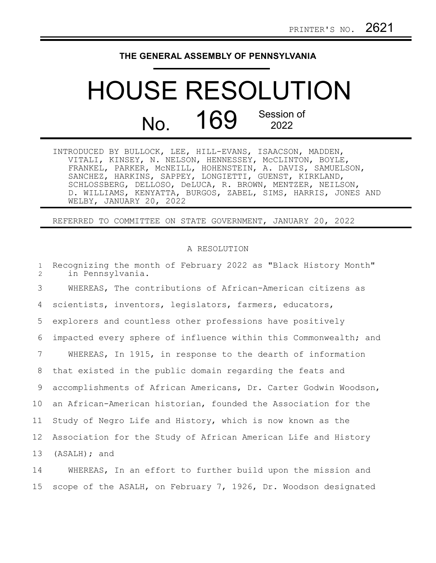## **THE GENERAL ASSEMBLY OF PENNSYLVANIA**

## HOUSE RESOLUTION No. 169 Session of 2022

| INTRODUCED BY BULLOCK, LEE, HILL-EVANS, ISAACSON, MADDEN,     |
|---------------------------------------------------------------|
| VITALI, KINSEY, N. NELSON, HENNESSEY, MCCLINTON, BOYLE,       |
| FRANKEL, PARKER, MCNEILL, HOHENSTEIN, A. DAVIS, SAMUELSON,    |
| SANCHEZ, HARKINS, SAPPEY, LONGIETTI, GUENST, KIRKLAND,        |
| SCHLOSSBERG, DELLOSO, DeLUCA, R. BROWN, MENTZER, NEILSON,     |
| D. WILLIAMS, KENYATTA, BURGOS, ZABEL, SIMS, HARRIS, JONES AND |
| WELBY, JANUARY 20, 2022                                       |

REFERRED TO COMMITTEE ON STATE GOVERNMENT, JANUARY 20, 2022

## A RESOLUTION

| $\mathbf{1}$<br>2 | Recognizing the month of February 2022 as "Black History Month"<br>in Pennsylvania. |
|-------------------|-------------------------------------------------------------------------------------|
| 3                 | WHEREAS, The contributions of African-American citizens as                          |
| 4                 | scientists, inventors, legislators, farmers, educators,                             |
| 5                 | explorers and countless other professions have positively                           |
| 6                 | impacted every sphere of influence within this Commonwealth; and                    |
| 7                 | WHEREAS, In 1915, in response to the dearth of information                          |
| 8                 | that existed in the public domain regarding the feats and                           |
| 9                 | accomplishments of African Americans, Dr. Carter Godwin Woodson,                    |
| 10                | an African-American historian, founded the Association for the                      |
| 11                | Study of Negro Life and History, which is now known as the                          |
| 12                | Association for the Study of African American Life and History                      |
| 13                | $(ASALH)$ ; and                                                                     |
| 14                | WHEREAS, In an effort to further build upon the mission and                         |

scope of the ASALH, on February 7, 1926, Dr. Woodson designated 14 15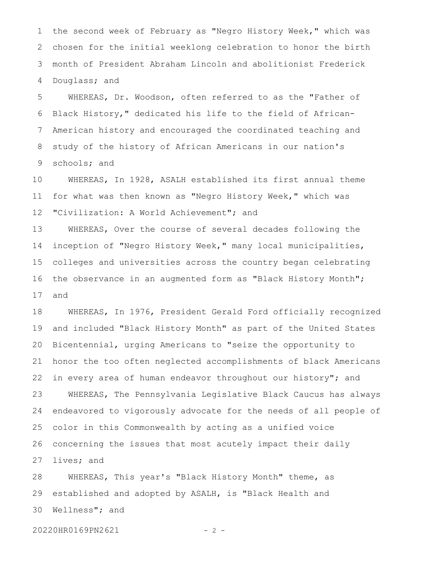the second week of February as "Negro History Week," which was chosen for the initial weeklong celebration to honor the birth month of President Abraham Lincoln and abolitionist Frederick Douglass; and 1 2 3 4

WHEREAS, Dr. Woodson, often referred to as the "Father of Black History," dedicated his life to the field of African-American history and encouraged the coordinated teaching and study of the history of African Americans in our nation's schools; and 5 6 7 8 9

WHEREAS, In 1928, ASALH established its first annual theme for what was then known as "Negro History Week," which was "Civilization: A World Achievement"; and 10 11 12

WHEREAS, Over the course of several decades following the inception of "Negro History Week," many local municipalities, colleges and universities across the country began celebrating the observance in an augmented form as "Black History Month"; and 13 14 15 16 17

WHEREAS, In 1976, President Gerald Ford officially recognized and included "Black History Month" as part of the United States Bicentennial, urging Americans to "seize the opportunity to honor the too often neglected accomplishments of black Americans in every area of human endeavor throughout our history"; and WHEREAS, The Pennsylvania Legislative Black Caucus has always endeavored to vigorously advocate for the needs of all people of color in this Commonwealth by acting as a unified voice concerning the issues that most acutely impact their daily lives; and 18 19 20 21 22 23 24 25 26 27

WHEREAS, This year's "Black History Month" theme, as established and adopted by ASALH, is "Black Health and Wellness"; and 28 29 30

20220HR0169PN2621 - 2 -